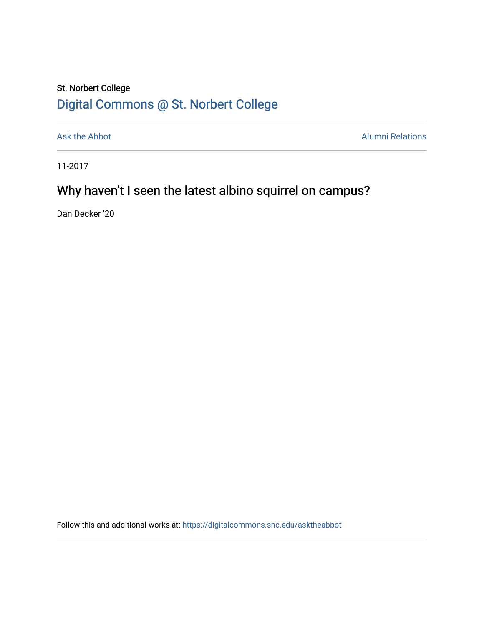## St. Norbert College [Digital Commons @ St. Norbert College](https://digitalcommons.snc.edu/)

[Ask the Abbot](https://digitalcommons.snc.edu/asktheabbot) **Alumni Relations** Alumni Relations

11-2017

# Why haven't I seen the latest albino squirrel on campus?

Dan Decker '20

Follow this and additional works at: [https://digitalcommons.snc.edu/asktheabbot](https://digitalcommons.snc.edu/asktheabbot?utm_source=digitalcommons.snc.edu%2Fasktheabbot%2F122&utm_medium=PDF&utm_campaign=PDFCoverPages)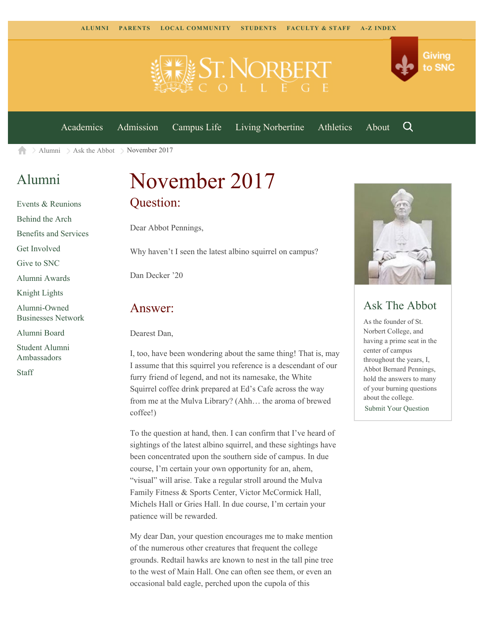

[Academics](https://www.snc.edu/academics) [Admission](https://www.snc.edu/admission) [Campus Life](https://www.snc.edu/campuslife) [Living Norbertine](https://www.snc.edu/livingnorbertine) [Athletics](https://www.snc.edu/athletics) [About](https://www.snc.edu/about)

Q

Giving

to SNC

 $\geq$  [Alumni](https://www.snc.edu/alumni/)  $\geq$  [Ask the Abbot](https://www.snc.edu/alumni/abbot/)  $\geq$  November 2017 A

### [Alumni](https://www.snc.edu/alumni/index.html)

[Events & Reunions](https://www.snc.edu/alumni/event/index.html) [Behind the Arch](https://www.snc.edu/alumni/event/behindthearch/) [Benefits and Services](https://www.snc.edu/alumni/benefits.html) [Get Involved](https://www.snc.edu/alumni/getinvolved.html) [Give to SNC](http://giving.snc.edu/) [Alumni Awards](https://www.snc.edu/alumni/awards/index.html) [Knight Lights](https://www.snc.edu/alumni/knightlights/index.html) [Alumni-Owned](https://www.snc.edu/alumni/directory/index.html) [Businesses Network](https://www.snc.edu/alumni/directory/index.html) [Alumni Board](https://www.snc.edu/alumni/alumniboard.html) [Student Alumni](https://www.snc.edu/alumni/saa.html) [Ambassadors](https://www.snc.edu/alumni/saa.html)

[Staff](https://www.snc.edu/alumni/contactus.html)

# November 2017 Question:

Dear Abbot Pennings,

Why haven't I seen the latest albino squirrel on campus?

Dan Decker '20

#### Answer:

Dearest Dan,

I, too, have been wondering about the same thing! That is, may I assume that this squirrel you reference is a descendant of our furry friend of legend, and not its namesake, the White Squirrel coffee drink prepared at Ed's Cafe across the way from me at the Mulva Library? (Ahh… the aroma of brewed coffee!)

To the question at hand, then. I can confirm that I've heard of sightings of the latest albino squirrel, and these sightings have been concentrated upon the southern side of campus. In due course, I'm certain your own opportunity for an, ahem, "visual" will arise. Take a regular stroll around the Mulva Family Fitness & Sports Center, Victor McCormick Hall, Michels Hall or Gries Hall. In due course, I'm certain your patience will be rewarded.

My dear Dan, your question encourages me to make mention of the numerous other creatures that frequent the college grounds. Redtail hawks are known to nest in the tall pine tree to the west of Main Hall. One can often see them, or even an occasional bald eagle, perched upon the cupola of this



### Ask The Abbot

As the founder of St. Norbert College, and having a prime seat in the center of campus throughout the years, I, Abbot Bernard Pennings, hold the answers to many of your burning questions about the college. [Submit Your Question](https://www.snc.edu/alumni/abbot/index.html)